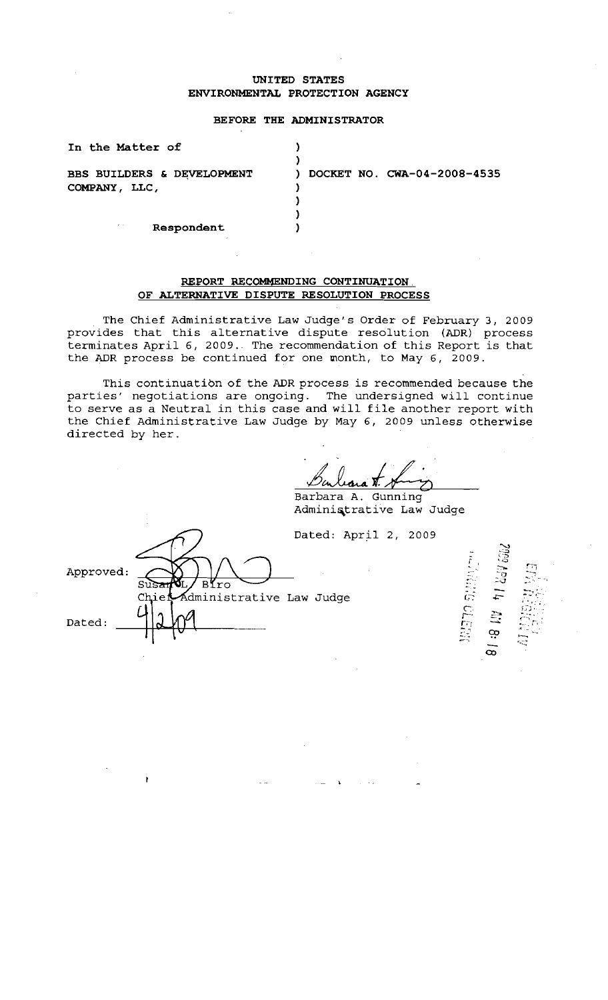## **UNITED STATES ENVIRONMENTAL PROTECTION AGENCY**

#### **BEFORE THE ADMINISTRATOR**

| In the Matter of           |                                   |
|----------------------------|-----------------------------------|
|                            |                                   |
| BBS BUILDERS & DEVELOPMENT | DOCKET NO. CWA-04-2008-4535<br>D. |
| COMPANY, LLC,              |                                   |
|                            |                                   |
|                            |                                   |
| $\epsilon$ .<br>Respondent |                                   |

#### **REPORT RECOMMENDING CONTINUATION OF ALTERNATIVE DISPUTE RESOLUTION PROCESS**

The Chief Administrative Law Judge's Order of February 3, 2009 provides that this alternative dispute resolution (ADR) process terminates April 6, 2009. The recommendation of this Report is that the ADR process be continued for one month, to May 6, 2009.

This continuatibn of the ADR process is recommended because the parties' negotiations are ongoing. The undersigned will continue to serve as a Neutral in this case and will file another report with the Chief Administrative Law Judge by May 6, 2009 unless otherwise directed by her.

Barbara <del>1. Aug</del>

Adminiqtrative Law Judge

**Mado Stripts** 

418.1

œ

April 2, 2009

|           |                                | Dated: A |
|-----------|--------------------------------|----------|
| Approved: | Biro<br>Susar                  |          |
|           | Chier Administrative Law Judge |          |
| Dated:    |                                |          |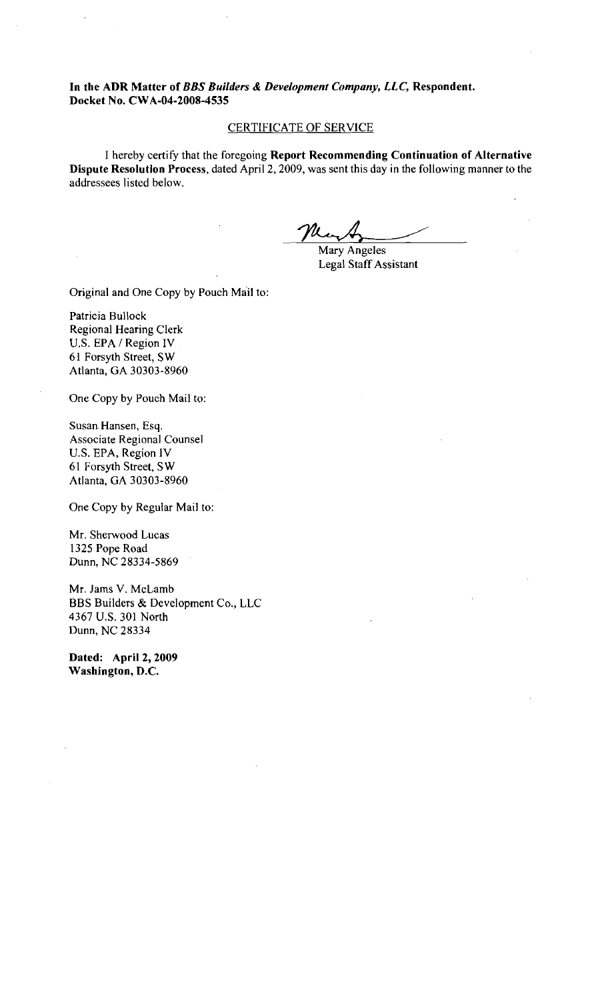**In the ADR Matter of** *BBS Builders* & *Development Company, LLC,* **Respondent. Docket No. CWA-04-2008-4535** 

## CERTIFICATE OF SERVICE

1 hereby certify that the foregoing **Report Recommending Continuation of Alternative Dispute Resolution Process,** dated April 2,2009, was sent this day in the following manner to the addressees listed below.

Mary Angeles Legal Staff Assistant

Original and One Copy by Pouch Mail to:

Patricia Bullock Regional Hearing Clerk U.S. EPA / Region IV 61 Forsyth Street, SW Atlanta, GA 30303-8960

One Copy by Pouch Mail to:

Susan. Hansen, Esq. Associate Regional Counsel U.S. EPA, Region IV 61 Forsyth Street, SW Atlanta. GA 30303-8960

One Copy by Regular Mail to:

Mr. Sherwood Lucas 1325 Pope Road Dunn, NC 28334-5869

Mr. Jams V. McLamb BBS Builders & Development Co., LLC 4367 U.S. 301 North Dunn. NC 28334

**Dated: April 2,2009 Washington, D.C.**